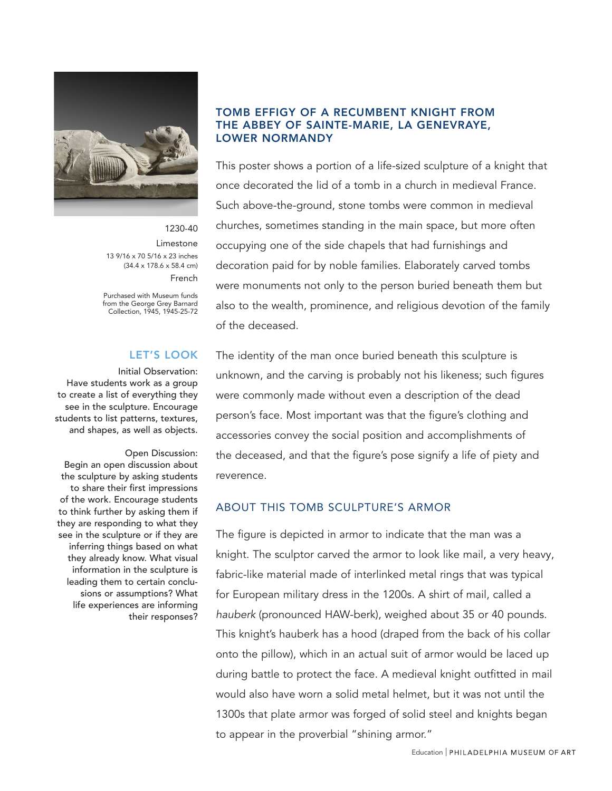

1230-40 Limestone 13 9/16 x 70 5/16 x 23 inches (34.4 x 178.6 x 58.4 cm) French

Purchased with Museum funds from the George Grey Barnard Collection, 1945, 1945-25-72

### LET'S LOOK

Initial Observation: Have students work as a group to create a list of everything they see in the sculpture. Encourage students to list patterns, textures, and shapes, as well as objects.

Open Discussion: Begin an open discussion about the sculpture by asking students to share their first impressions of the work. Encourage students to think further by asking them if they are responding to what they see in the sculpture or if they are inferring things based on what they already know. What visual information in the sculpture is leading them to certain conclusions or assumptions? What life experiences are informing their responses?

#### TOMB EFFIGY OF A RECUMBENT KNIGHT FROM THE ABBEY OF SAINTE-MARIE, LA GENEVRAYE, LOWER NORMANDY

This poster shows a portion of a life-sized sculpture of a knight that once decorated the lid of a tomb in a church in medieval France. Such above-the-ground, stone tombs were common in medieval churches, sometimes standing in the main space, but more often occupying one of the side chapels that had furnishings and decoration paid for by noble families. Elaborately carved tombs were monuments not only to the person buried beneath them but also to the wealth, prominence, and religious devotion of the family of the deceased.

The identity of the man once buried beneath this sculpture is unknown, and the carving is probably not his likeness; such figures were commonly made without even a description of the dead person's face. Most important was that the figure's clothing and accessories convey the social position and accomplishments of the deceased, and that the figure's pose signify a life of piety and reverence.

#### ABOUT THIS TOMB SCULPTURE'S ARMOR

The figure is depicted in armor to indicate that the man was a knight. The sculptor carved the armor to look like mail, a very heavy, fabric-like material made of interlinked metal rings that was typical for European military dress in the 1200s. A shirt of mail, called a hauberk (pronounced HAW-berk), weighed about 35 or 40 pounds. This knight's hauberk has a hood (draped from the back of his collar onto the pillow), which in an actual suit of armor would be laced up during battle to protect the face. A medieval knight outfitted in mail would also have worn a solid metal helmet, but it was not until the 1300s that plate armor was forged of solid steel and knights began to appear in the proverbial "shining armor."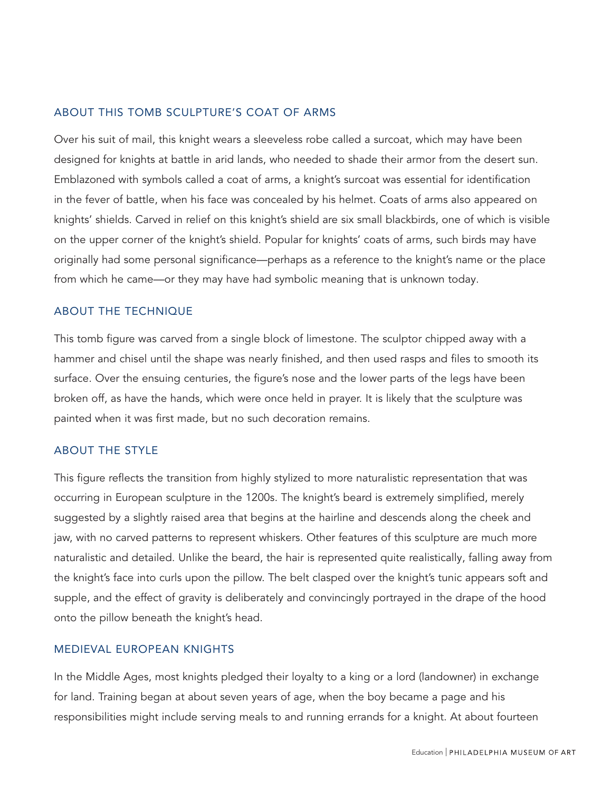### ABOUT THIS TOMB SCULPTURE'S COAT OF ARMS

Over his suit of mail, this knight wears a sleeveless robe called a surcoat, which may have been designed for knights at battle in arid lands, who needed to shade their armor from the desert sun. Emblazoned with symbols called a coat of arms, a knight's surcoat was essential for identification in the fever of battle, when his face was concealed by his helmet. Coats of arms also appeared on knights' shields. Carved in relief on this knight's shield are six small blackbirds, one of which is visible on the upper corner of the knight's shield. Popular for knights' coats of arms, such birds may have originally had some personal significance—perhaps as a reference to the knight's name or the place from which he came—or they may have had symbolic meaning that is unknown today.

### ABOUT THE TECHNIQUE

This tomb figure was carved from a single block of limestone. The sculptor chipped away with a hammer and chisel until the shape was nearly finished, and then used rasps and files to smooth its surface. Over the ensuing centuries, the figure's nose and the lower parts of the legs have been broken off, as have the hands, which were once held in prayer. It is likely that the sculpture was painted when it was first made, but no such decoration remains.

### ABOUT THE STYLE

This figure reflects the transition from highly stylized to more naturalistic representation that was occurring in European sculpture in the 1200s. The knight's beard is extremely simplified, merely suggested by a slightly raised area that begins at the hairline and descends along the cheek and jaw, with no carved patterns to represent whiskers. Other features of this sculpture are much more naturalistic and detailed. Unlike the beard, the hair is represented quite realistically, falling away from the knight's face into curls upon the pillow. The belt clasped over the knight's tunic appears soft and supple, and the effect of gravity is deliberately and convincingly portrayed in the drape of the hood onto the pillow beneath the knight's head.

### MEDIEVAL EUROPEAN KNIGHTS

In the Middle Ages, most knights pledged their loyalty to a king or a lord (landowner) in exchange for land. Training began at about seven years of age, when the boy became a page and his responsibilities might include serving meals to and running errands for a knight. At about fourteen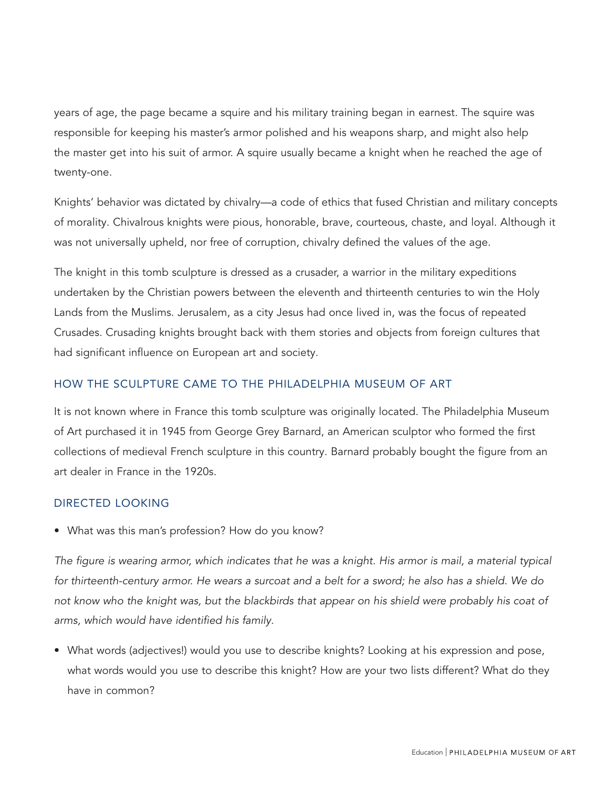years of age, the page became a squire and his military training began in earnest. The squire was responsible for keeping his master's armor polished and his weapons sharp, and might also help the master get into his suit of armor. A squire usually became a knight when he reached the age of twenty-one.

Knights' behavior was dictated by chivalry—a code of ethics that fused Christian and military concepts of morality. Chivalrous knights were pious, honorable, brave, courteous, chaste, and loyal. Although it was not universally upheld, nor free of corruption, chivalry defined the values of the age.

The knight in this tomb sculpture is dressed as a crusader, a warrior in the military expeditions undertaken by the Christian powers between the eleventh and thirteenth centuries to win the Holy Lands from the Muslims. Jerusalem, as a city Jesus had once lived in, was the focus of repeated Crusades. Crusading knights brought back with them stories and objects from foreign cultures that had significant influence on European art and society.

# HOW THE SCULPTURE CAME TO THE PHILADELPHIA MUSEUM OF ART

It is not known where in France this tomb sculpture was originally located. The Philadelphia Museum of Art purchased it in 1945 from George Grey Barnard, an American sculptor who formed the first collections of medieval French sculpture in this country. Barnard probably bought the figure from an art dealer in France in the 1920s.

## DIRECTED LOOKING

• What was this man's profession? How do you know?

The figure is wearing armor, which indicates that he was a knight. His armor is mail, a material typical for thirteenth-century armor. He wears a surcoat and a belt for a sword; he also has a shield. We do not know who the knight was, but the blackbirds that appear on his shield were probably his coat of arms, which would have identified his family.

• What words (adjectives!) would you use to describe knights? Looking at his expression and pose, what words would you use to describe this knight? How are your two lists different? What do they have in common?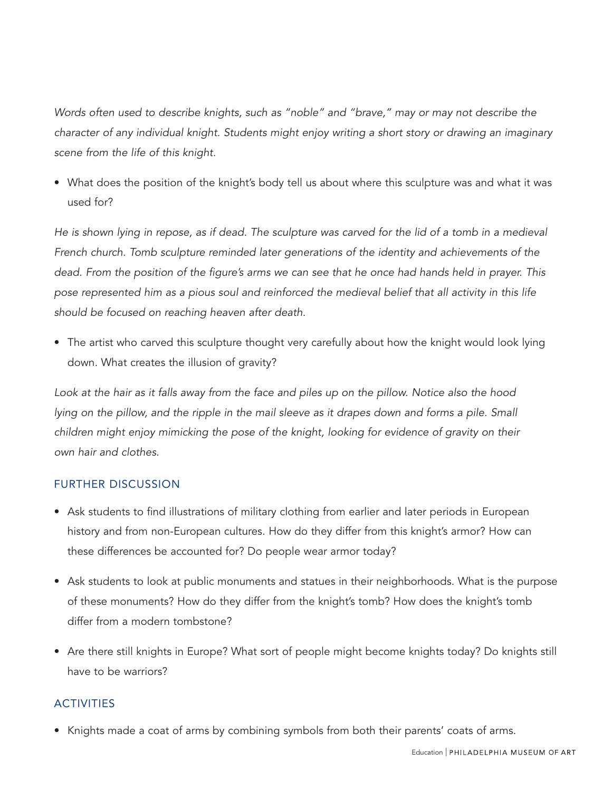Words often used to describe knights, such as "noble" and "brave," may or may not describe the character of any individual knight. Students might enjoy writing a short story or drawing an imaginary scene from the life of this knight.

• What does the position of the knight's body tell us about where this sculpture was and what it was used for?

He is shown lying in repose, as if dead. The sculpture was carved for the lid of a tomb in a medieval French church. Tomb sculpture reminded later generations of the identity and achievements of the dead. From the position of the figure's arms we can see that he once had hands held in prayer. This pose represented him as a pious soul and reinforced the medieval belief that all activity in this life should be focused on reaching heaven after death.

• The artist who carved this sculpture thought very carefully about how the knight would look lying down. What creates the illusion of gravity?

Look at the hair as it falls away from the face and piles up on the pillow. Notice also the hood lying on the pillow, and the ripple in the mail sleeve as it drapes down and forms a pile. Small children might enjoy mimicking the pose of the knight, looking for evidence of gravity on their own hair and clothes.

## FURTHER DISCUSSION

- Ask students to find illustrations of military clothing from earlier and later periods in European history and from non-European cultures. How do they differ from this knight's armor? How can these differences be accounted for? Do people wear armor today?
- Ask students to look at public monuments and statues in their neighborhoods. What is the purpose of these monuments? How do they differ from the knight's tomb? How does the knight's tomb differ from a modern tombstone?
- Are there still knights in Europe? What sort of people might become knights today? Do knights still have to be warriors?

## **ACTIVITIES**

• Knights made a coat of arms by combining symbols from both their parents' coats of arms.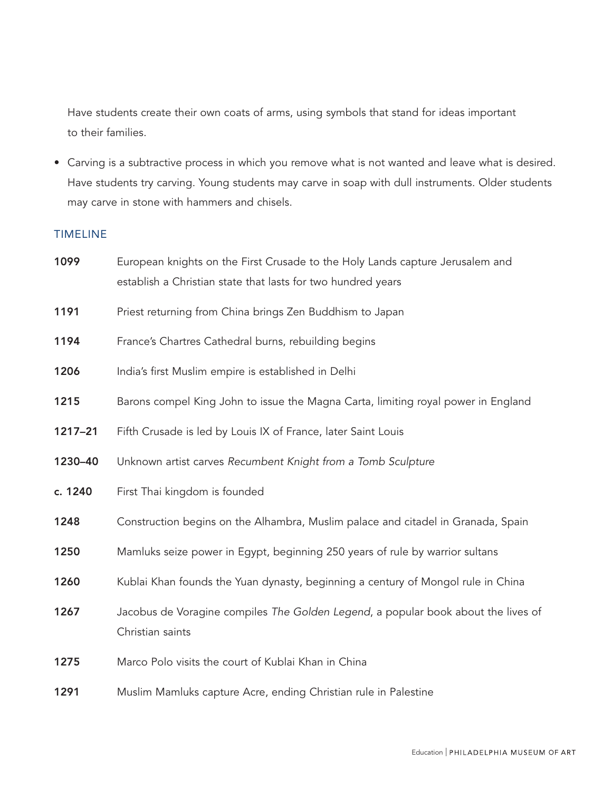Have students create their own coats of arms, using symbols that stand for ideas important to their families.

• Carving is a subtractive process in which you remove what is not wanted and leave what is desired. Have students try carving. Young students may carve in soap with dull instruments. Older students may carve in stone with hammers and chisels.

### TIMELINE

| 1099    | European knights on the First Crusade to the Holy Lands capture Jerusalem and<br>establish a Christian state that lasts for two hundred years |
|---------|-----------------------------------------------------------------------------------------------------------------------------------------------|
| 1191    | Priest returning from China brings Zen Buddhism to Japan                                                                                      |
| 1194    | France's Chartres Cathedral burns, rebuilding begins                                                                                          |
| 1206    | India's first Muslim empire is established in Delhi                                                                                           |
| 1215    | Barons compel King John to issue the Magna Carta, limiting royal power in England                                                             |
| 1217-21 | Fifth Crusade is led by Louis IX of France, later Saint Louis                                                                                 |
| 1230-40 | Unknown artist carves Recumbent Knight from a Tomb Sculpture                                                                                  |
| c. 1240 | First Thai kingdom is founded                                                                                                                 |
| 1248    | Construction begins on the Alhambra, Muslim palace and citadel in Granada, Spain                                                              |
| 1250    | Mamluks seize power in Egypt, beginning 250 years of rule by warrior sultans                                                                  |
| 1260    | Kublai Khan founds the Yuan dynasty, beginning a century of Mongol rule in China                                                              |
| 1267    | Jacobus de Voragine compiles The Golden Legend, a popular book about the lives of<br>Christian saints                                         |
| 1275    | Marco Polo visits the court of Kublai Khan in China                                                                                           |
| 1291    | Muslim Mamluks capture Acre, ending Christian rule in Palestine                                                                               |